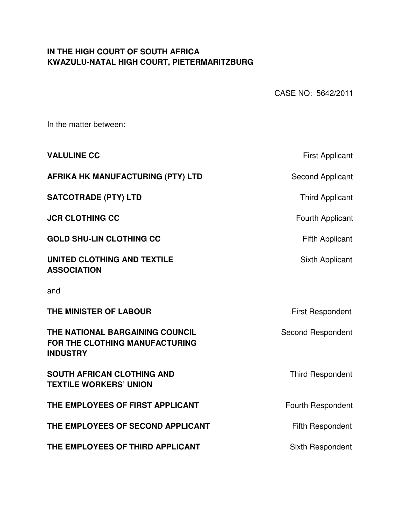# **IN THE HIGH COURT OF SOUTH AFRICA KWAZULU-NATAL HIGH COURT, PIETERMARITZBURG**

CASE NO: 5642/2011

In the matter between:

| <b>First Applicant</b>   |
|--------------------------|
| Second Applicant         |
| <b>Third Applicant</b>   |
| Fourth Applicant         |
| <b>Fifth Applicant</b>   |
| Sixth Applicant          |
|                          |
| <b>First Respondent</b>  |
| <b>Second Respondent</b> |
| <b>Third Respondent</b>  |
| Fourth Respondent        |
| <b>Fifth Respondent</b>  |
| Sixth Respondent         |
|                          |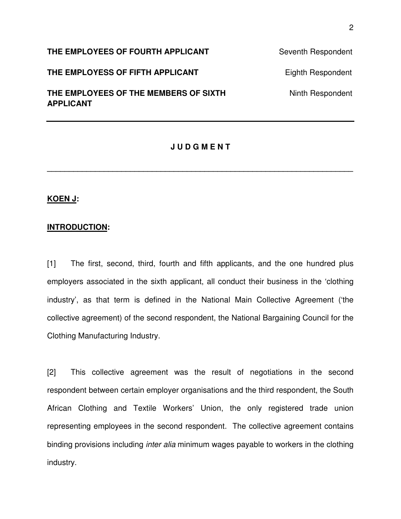**THE EMPLOYEES OF FOURTH APPLICANT** Seventh Respondent

**THE EMPLOYESS OF FIFTH APPLICANT** Eighth Respondent

**THE EMPLOYEES OF THE MEMBERS OF SIXTH MEMBERS OF SIZE AND Minth Respondent APPLICANT** 

### **J U D G M E N T**

**\_\_\_\_\_\_\_\_\_\_\_\_\_\_\_\_\_\_\_\_\_\_\_\_\_\_\_\_\_\_\_\_\_\_\_\_\_\_\_\_\_\_\_\_\_\_\_\_\_\_\_\_\_\_\_\_\_\_\_\_\_\_\_\_\_\_\_\_\_\_** 

## **KOEN J:**

### **INTRODUCTION:**

[1] The first, second, third, fourth and fifth applicants, and the one hundred plus employers associated in the sixth applicant, all conduct their business in the 'clothing industry', as that term is defined in the National Main Collective Agreement ('the collective agreement) of the second respondent, the National Bargaining Council for the Clothing Manufacturing Industry.

[2] This collective agreement was the result of negotiations in the second respondent between certain employer organisations and the third respondent, the South African Clothing and Textile Workers' Union, the only registered trade union representing employees in the second respondent. The collective agreement contains binding provisions including *inter alia* minimum wages payable to workers in the clothing industry.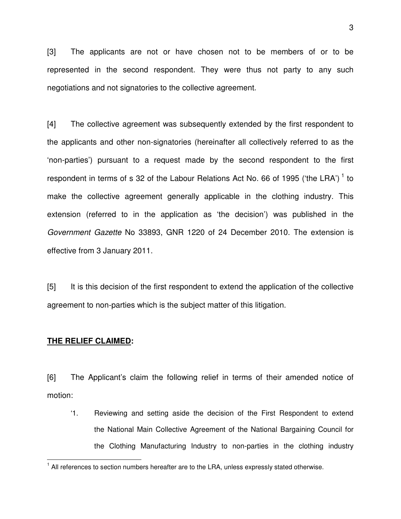[3] The applicants are not or have chosen not to be members of or to be represented in the second respondent. They were thus not party to any such negotiations and not signatories to the collective agreement.

[4] The collective agreement was subsequently extended by the first respondent to the applicants and other non-signatories (hereinafter all collectively referred to as the 'non-parties') pursuant to a request made by the second respondent to the first respondent in terms of s 32 of the Labour Relations Act No. 66 of 1995 ('the LRA')<sup>1</sup> to make the collective agreement generally applicable in the clothing industry. This extension (referred to in the application as 'the decision') was published in the *Government Gazette* No 33893, GNR 1220 of 24 December 2010. The extension is effective from 3 January 2011.

[5] It is this decision of the first respondent to extend the application of the collective agreement to non-parties which is the subject matter of this litigation.

#### **THE RELIEF CLAIMED:**

 $\overline{1}$ 

[6] The Applicant's claim the following relief in terms of their amended notice of motion:

 '1. Reviewing and setting aside the decision of the First Respondent to extend the National Main Collective Agreement of the National Bargaining Council for the Clothing Manufacturing Industry to non-parties in the clothing industry

 $1$  All references to section numbers hereafter are to the LRA, unless expressly stated otherwise.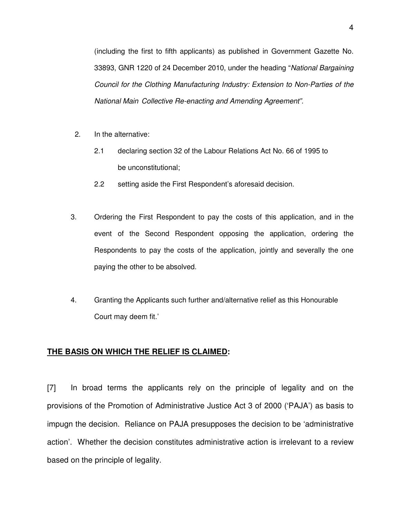(including the first to fifth applicants) as published in Government Gazette No. 33893, GNR 1220 of 24 December 2010, under the heading "*National Bargaining Council for the Clothing Manufacturing Industry: Extension to Non-Parties of the National Main Collective Re-enacting and Amending Agreement".* 

- 2. In the alternative:
	- 2.1 declaring section 32 of the Labour Relations Act No. 66 of 1995 to be unconstitutional;
	- 2.2 setting aside the First Respondent's aforesaid decision.
- 3. Ordering the First Respondent to pay the costs of this application, and in the event of the Second Respondent opposing the application, ordering the Respondents to pay the costs of the application, jointly and severally the one paying the other to be absolved.
- 4. Granting the Applicants such further and/alternative relief as this Honourable Court may deem fit.'

### **THE BASIS ON WHICH THE RELIEF IS CLAIMED:**

[7] In broad terms the applicants rely on the principle of legality and on the provisions of the Promotion of Administrative Justice Act 3 of 2000 ('PAJA') as basis to impugn the decision. Reliance on PAJA presupposes the decision to be 'administrative action'. Whether the decision constitutes administrative action is irrelevant to a review based on the principle of legality.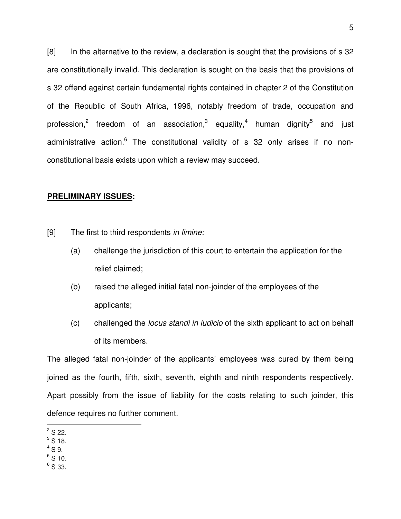[8] In the alternative to the review, a declaration is sought that the provisions of s 32 are constitutionally invalid. This declaration is sought on the basis that the provisions of s 32 offend against certain fundamental rights contained in chapter 2 of the Constitution of the Republic of South Africa, 1996, notably freedom of trade, occupation and profession,<sup>2</sup> freedom of an association,<sup>3</sup> equality,<sup>4</sup> human dignity<sup>5</sup> and just administrative action.<sup>6</sup> The constitutional validity of s 32 only arises if no nonconstitutional basis exists upon which a review may succeed.

### **PRELIMINARY ISSUES:**

[9] The first to third respondents *in limine:* 

- (a) challenge the jurisdiction of this court to entertain the application for the relief claimed;
- (b) raised the alleged initial fatal non-joinder of the employees of the applicants;
- (c) challenged the *locus standi in iudicio* of the sixth applicant to act on behalf of its members.

The alleged fatal non-joinder of the applicants' employees was cured by them being joined as the fourth, fifth, sixth, seventh, eighth and ninth respondents respectively. Apart possibly from the issue of liability for the costs relating to such joinder, this defence requires no further comment.

- $^3$  S 18.
- $4$  S 9.
- $^5$  S 10.
- $^6$  S 33.

 $\overline{a^2S}$  22.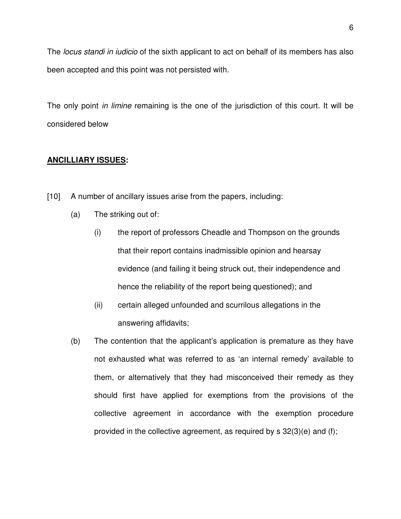The *locus standi in iudicio* of the sixth applicant to act on behalf of its members has also been accepted and this point was not persisted with.

The only point *in limine* remaining is the one of the jurisdiction of this court. It will be considered below

# **ANCILLIARY ISSUES:**

- [10] A number of ancillary issues arise from the papers, including:
	- (a) The striking out of:
		- (i) the report of professors Cheadle and Thompson on the grounds that their report contains inadmissible opinion and hearsay evidence (and failing it being struck out, their independence and hence the reliability of the report being questioned); and
		- (ii) certain alleged unfounded and scurrilous allegations in the answering affidavits;
	- (b) The contention that the applicant's application is premature as they have not exhausted what was referred to as 'an internal remedy' available to them, or alternatively that they had misconceived their remedy as they should first have applied for exemptions from the provisions of the collective agreement in accordance with the exemption procedure provided in the collective agreement, as required by s 32(3)(e) and (f);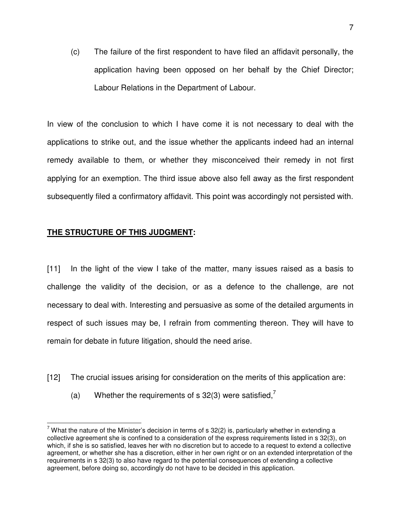(c) The failure of the first respondent to have filed an affidavit personally, the application having been opposed on her behalf by the Chief Director; Labour Relations in the Department of Labour.

 In view of the conclusion to which I have come it is not necessary to deal with the applications to strike out, and the issue whether the applicants indeed had an internal remedy available to them, or whether they misconceived their remedy in not first applying for an exemption. The third issue above also fell away as the first respondent subsequently filed a confirmatory affidavit. This point was accordingly not persisted with.

# **THE STRUCTURE OF THIS JUDGMENT:**

[11] In the light of the view I take of the matter, many issues raised as a basis to challenge the validity of the decision, or as a defence to the challenge, are not necessary to deal with. Interesting and persuasive as some of the detailed arguments in respect of such issues may be, I refrain from commenting thereon. They will have to remain for debate in future litigation, should the need arise.

- [12] The crucial issues arising for consideration on the merits of this application are:
	- (a) Whether the requirements of s 32(3) were satisfied,<sup>7</sup>

 $\overline{a}$ <sup>7</sup> What the nature of the Minister's decision in terms of s 32(2) is, particularly whether in extending a collective agreement she is confined to a consideration of the express requirements listed in s 32(3), on which, if she is so satisfied, leaves her with no discretion but to accede to a request to extend a collective agreement, or whether she has a discretion, either in her own right or on an extended interpretation of the requirements in s 32(3) to also have regard to the potential consequences of extending a collective agreement, before doing so, accordingly do not have to be decided in this application.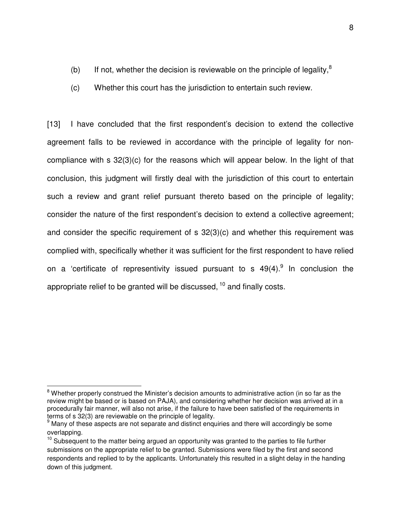- (b) If not, whether the decision is reviewable on the principle of legality, $8$
- (c) Whether this court has the jurisdiction to entertain such review.

[13] I have concluded that the first respondent's decision to extend the collective agreement falls to be reviewed in accordance with the principle of legality for noncompliance with s 32(3)(c) for the reasons which will appear below. In the light of that conclusion, this judgment will firstly deal with the jurisdiction of this court to entertain such a review and grant relief pursuant thereto based on the principle of legality; consider the nature of the first respondent's decision to extend a collective agreement; and consider the specific requirement of s 32(3)(c) and whether this requirement was complied with, specifically whether it was sufficient for the first respondent to have relied on a 'certificate of representivity issued pursuant to s  $49(4)$ .<sup>9</sup> In conclusion the appropriate relief to be granted will be discussed,  $10$  and finally costs.

 8 Whether properly construed the Minister's decision amounts to administrative action (in so far as the review might be based or is based on PAJA), and considering whether her decision was arrived at in a procedurally fair manner, will also not arise, if the failure to have been satisfied of the requirements in terms of s 32(3) are reviewable on the principle of legality.

 $9$  Many of these aspects are not separate and distinct enquiries and there will accordingly be some overlapping.

 $10$  Subsequent to the matter being argued an opportunity was granted to the parties to file further submissions on the appropriate relief to be granted. Submissions were filed by the first and second respondents and replied to by the applicants. Unfortunately this resulted in a slight delay in the handing down of this judgment.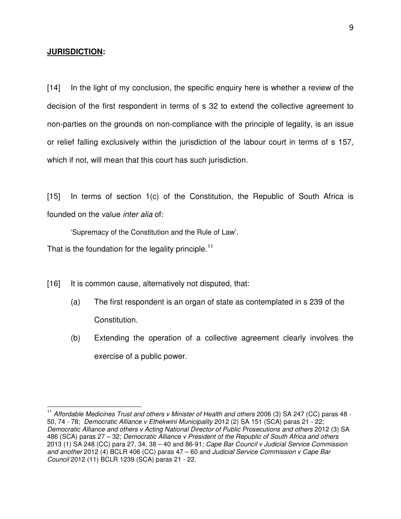### **JURISDICTION:**

 $\overline{a}$ 

[14] In the light of my conclusion, the specific enquiry here is whether a review of the decision of the first respondent in terms of s 32 to extend the collective agreement to non-parties on the grounds on non-compliance with the principle of legality, is an issue or relief falling exclusively within the jurisdiction of the labour court in terms of s 157, which if not, will mean that this court has such jurisdiction.

[15] In terms of section 1(c) of the Constitution, the Republic of South Africa is founded on the value *inter alia* of:

'Supremacy of the Constitution and the Rule of Law'.

That is the foundation for the legality principle.<sup>11</sup>

[16] It is common cause, alternatively not disputed, that:

- (a) The first respondent is an organ of state as contemplated in s 239 of the Constitution.
- (b) Extending the operation of a collective agreement clearly involves the exercise of a public power.

<sup>&</sup>lt;sup>11</sup> Affordable Medicines Trust and others v Minister of Health and others 2006 (3) SA 247 (CC) paras 48 -50, 74 - 78; *Democratic Alliance v Ethekwini Municipality* 2012 (2) SA 151 (SCA) paras 21 - 22; *Democratic Alliance and others v Acting National Director of Public Prosecutions and others* 2012 (3) SA 486 (SCA) paras 27 – 32; *Democratic Alliance v President of the Republic of South Africa and others* 2013 (1) SA 248 (CC) para 27, 34, 38 – 40 and 86-91; *Cape Bar Council v Judicial Service Commission and another* 2012 (4) BCLR 406 (CC) paras 47 – 60 and *Judicial Service Commission v Cape Bar Council* 2012 (11) BCLR 1239 (SCA) paras 21 - 22.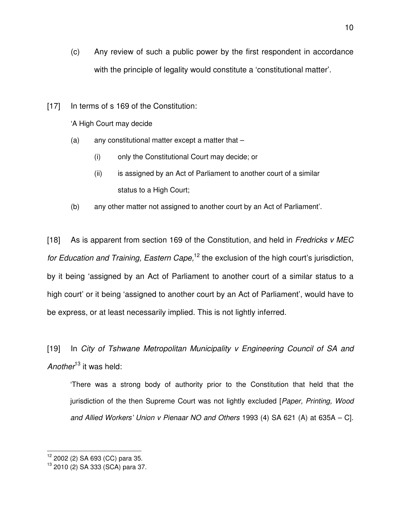- (c) Any review of such a public power by the first respondent in accordance with the principle of legality would constitute a 'constitutional matter'.
- [17] In terms of s 169 of the Constitution:

'A High Court may decide

- $(a)$  any constitutional matter except a matter that  $-$ 
	- (i) only the Constitutional Court may decide; or
	- (ii) is assigned by an Act of Parliament to another court of a similar status to a High Court;
- (b) any other matter not assigned to another court by an Act of Parliament'.

[18] As is apparent from section 169 of the Constitution, and held in *Fredricks v MEC for Education and Training, Eastern Cape*,<sup>12</sup> the exclusion of the high court's jurisdiction, by it being 'assigned by an Act of Parliament to another court of a similar status to a high court' or it being 'assigned to another court by an Act of Parliament', would have to be express, or at least necessarily implied. This is not lightly inferred.

[19] In *City of Tshwane Metropolitan Municipality v Engineering Council of SA and Another*<sup>13</sup> it was held:

'There was a strong body of authority prior to the Constitution that held that the jurisdiction of the then Supreme Court was not lightly excluded [*Paper, Printing, Wood and Allied Workers' Union v Pienaar NO and Others* 1993 (4) SA 621 (A) at 635A – C].

 $\overline{1}$ <sup>12</sup> 2002 (2) SA 693 (CC) para 35.

<sup>13</sup> 2010 (2) SA 333 (SCA) para 37.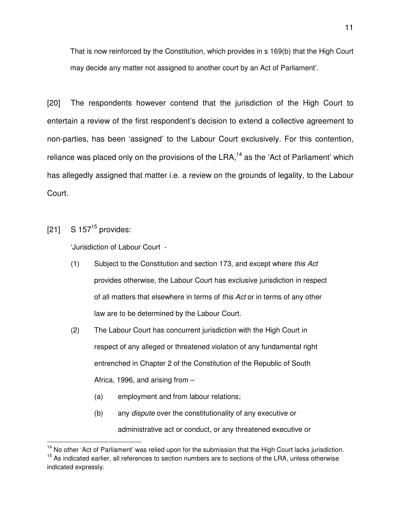That is now reinforced by the Constitution, which provides in s 169(b) that the High Court may decide any matter not assigned to another court by an Act of Parliament'.

[20] The respondents however contend that the jurisdiction of the High Court to entertain a review of the first respondent's decision to extend a collective agreement to non-parties, has been 'assigned' to the Labour Court exclusively. For this contention, reliance was placed only on the provisions of the LRA,<sup>14</sup> as the 'Act of Parliament' which has allegedly assigned that matter i.e. a review on the grounds of legality, to the Labour Court.

 $[21]$  S 157<sup>15</sup> provides:

l

'Jurisdiction of Labour Court -

- (1) Subject to the Constitution and section 173, and except where *this Act* provides otherwise, the Labour Court has exclusive jurisdiction in respect of all matters that elsewhere in terms of *this Act* or in terms of any other law are to be determined by the Labour Court.
- (2) The Labour Court has concurrent jurisdiction with the High Court in respect of any alleged or threatened violation of any fundamental right entrenched in Chapter 2 of the Constitution of the Republic of South Africa, 1996, and arising from –
	- (a) employment and from labour relations;
	- (b) any *dispute* over the constitutionality of any executive or administrative act or conduct, or any threatened executive or

<sup>&</sup>lt;sup>14</sup> No other 'Act of Parliament' was relied upon for the submission that the High Court lacks jurisdiction. <sup>15</sup> As indicated earlier, all references to section numbers are to sections of the LRA, unless otherwise indicated expressly.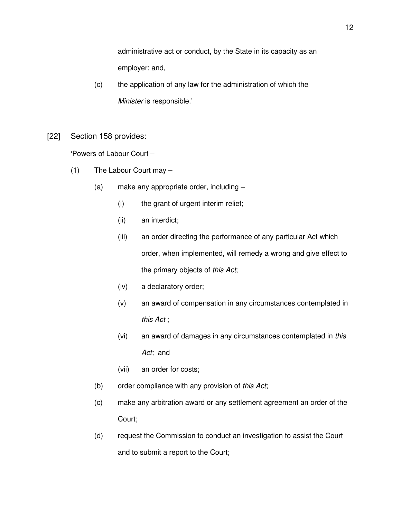administrative act or conduct, by the State in its capacity as an employer; and,

- (c) the application of any law for the administration of which the *Minister* is responsible.'
- [22] Section 158 provides:

'Powers of Labour Court –

- (1) The Labour Court may
	- (a) make any appropriate order, including
		- (i) the grant of urgent interim relief;
		- (ii) an interdict;
		- (iii) an order directing the performance of any particular Act which order, when implemented, will remedy a wrong and give effect to the primary objects of *this Act*;
		- (iv) a declaratory order;
		- (v) an award of compensation in any circumstances contemplated in *this Act* ;
		- (vi) an award of damages in any circumstances contemplated in *this Act;* and
		- (vii) an order for costs;
	- (b) order compliance with any provision of *this Act*;
	- (c) make any arbitration award or any settlement agreement an order of the Court;
	- (d) request the Commission to conduct an investigation to assist the Court and to submit a report to the Court;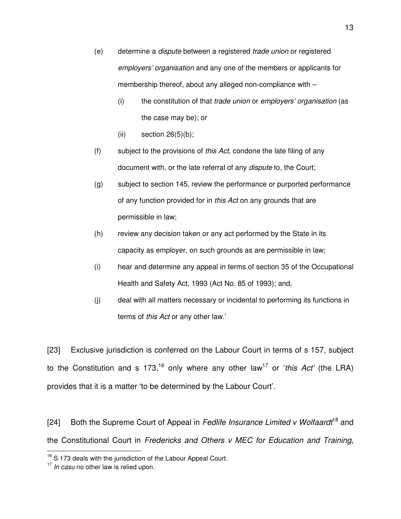- (e) determine a *dispute* between a registered *trade union* or registered *employers' organisation* and any one of the members or applicants for membership thereof, about any alleged non-compliance with –
	- (i) the constitution of that *trade union* or *employers' organisation* (as the case may be); or
	- (ii) section  $26(5)(b)$ ;
- (f) subject to the provisions of *this Act*, condone the late filing of any document with, or the late referral of any *dispute* to, the Court;
- (g) subject to section 145, review the performance or purported performance of any function provided for in *this Act* on any grounds that are permissible in law;
- (h) review any decision taken or any act performed by the State in its capacity as employer, on such grounds as are permissible in law;
- (i) hear and determine any appeal in terms of section 35 of the Occupational Health and Safety Act, 1993 (Act No. 85 of 1993); and,
- (j) deal with all matters necessary or incidental to performing its functions in terms of *this Act* or any other law.'

[23] Exclusive jurisdiction is conferred on the Labour Court in terms of s 157, subject to the Constitution and s  $173<sup>16</sup>$  only where any other law<sup>17</sup> or *'this Act'* (the LRA) provides that it is a matter 'to be determined by the Labour Court'.

[24] Both the Supreme Court of Appeal in *Fedlife Insurance Limited v Wolfaardt*<sup>18</sup> and the Constitutional Court in *Fredericks and Others v MEC for Education and Training,* 

 $\overline{a}$ 

 $16$  S 173 deals with the jurisdiction of the Labour Appeal Court.

<sup>17</sup> *In casu* no other law is relied upon.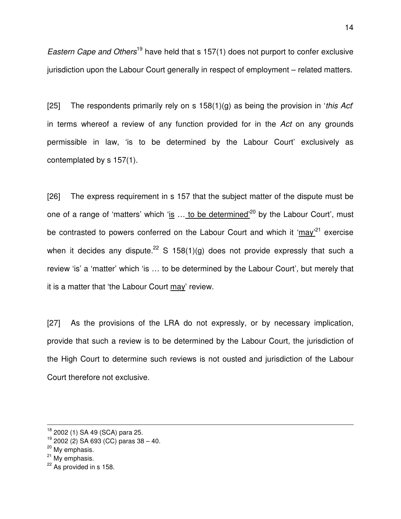*Eastern Cape and Others*<sup>19</sup> have held that s 157(1) does not purport to confer exclusive jurisdiction upon the Labour Court generally in respect of employment – related matters.

[25] The respondents primarily rely on s 158(1)(g) as being the provision in '*this Act*' in terms whereof a review of any function provided for in the *Act* on any grounds permissible in law, 'is to be determined by the Labour Court' exclusively as contemplated by s 157(1).

[26] The express requirement in s 157 that the subject matter of the dispute must be one of a range of 'matters' which 'is ... to be determined<sup>'20</sup> by the Labour Court', must be contrasted to powers conferred on the Labour Court and which it 'may'<sup>21</sup> exercise when it decides any dispute.<sup>22</sup> S 158(1)(g) does not provide expressly that such a review 'is' a 'matter' which 'is … to be determined by the Labour Court', but merely that it is a matter that 'the Labour Court may' review.

[27] As the provisions of the LRA do not expressly, or by necessary implication, provide that such a review is to be determined by the Labour Court, the jurisdiction of the High Court to determine such reviews is not ousted and jurisdiction of the Labour Court therefore not exclusive.

 $\overline{1}$ 

<sup>&</sup>lt;sup>18</sup> 2002 (1) SA 49 (SCA) para 25.

 $19$  2002 (2) SA 693 (CC) paras 38 – 40.

<sup>&</sup>lt;sup>20</sup> My emphasis.

 $21$  My emphasis.

 $22$  As provided in s 158.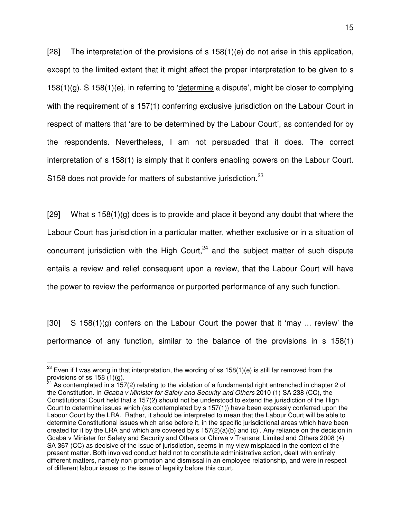[28] The interpretation of the provisions of s  $158(1)(e)$  do not arise in this application, except to the limited extent that it might affect the proper interpretation to be given to s 158(1)(g). S 158(1)(e), in referring to 'determine a dispute', might be closer to complying with the requirement of s 157(1) conferring exclusive jurisdiction on the Labour Court in respect of matters that 'are to be determined by the Labour Court', as contended for by the respondents. Nevertheless, I am not persuaded that it does. The correct interpretation of s 158(1) is simply that it confers enabling powers on the Labour Court. S158 does not provide for matters of substantive jurisdiction. $^{23}$ 

[29] What s  $158(1)(g)$  does is to provide and place it beyond any doubt that where the Labour Court has jurisdiction in a particular matter, whether exclusive or in a situation of concurrent jurisdiction with the High Court, $24$  and the subject matter of such dispute entails a review and relief consequent upon a review, that the Labour Court will have the power to review the performance or purported performance of any such function.

 $[30]$  S 158(1)(g) confers on the Labour Court the power that it 'may ... review' the performance of any function, similar to the balance of the provisions in s 158(1)

 $\overline{\phantom{a}}$ 

 $^{23}$  Even if I was wrong in that interpretation, the wording of ss 158(1)(e) is still far removed from the provisions of ss 158 (1)(g).

 $24$  As contemplated in s 157(2) relating to the violation of a fundamental right entrenched in chapter 2 of the Constitution. In *Gcaba v Minister for Safely and Security and Others* 2010 (1) SA 238 (CC), the Constitutional Court held that s 157(2) should not be understood to extend the jurisdiction of the High Court to determine issues which (as contemplated by s 157(1)) have been expressly conferred upon the Labour Court by the LRA. Rather, it should be interpreted to mean that the Labour Court will be able to determine Constitutional issues which arise before it, in the specific jurisdictional areas which have been created for it by the LRA and which are covered by  $s$  157(2)(a)(b) and (c)'. Any reliance on the decision in Gcaba v Minister for Safety and Security and Others or Chirwa v Transnet Limited and Others 2008 (4) SA 367 (CC) as decisive of the issue of jurisdiction, seems in my view misplaced in the context of the present matter. Both involved conduct held not to constitute administrative action, dealt with entirely different matters, namely non promotion and dismissal in an employee relationship, and were in respect of different labour issues to the issue of legality before this court.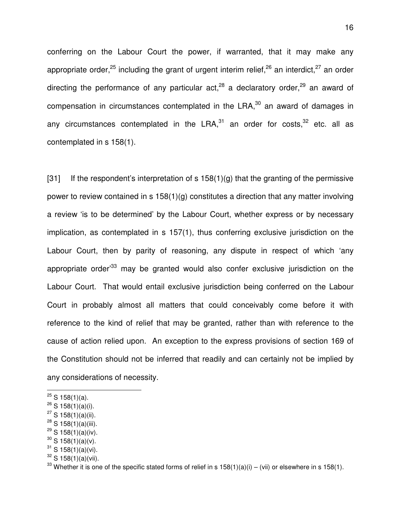conferring on the Labour Court the power, if warranted, that it may make any appropriate order,<sup>25</sup> including the grant of urgent interim relief,<sup>26</sup> an interdict,<sup>27</sup> an order directing the performance of any particular  $act.^{28}$  a declaratory order,  $29$  an award of compensation in circumstances contemplated in the  $LRA$ , $30$  an award of damages in any circumstances contemplated in the LRA, $31$  an order for costs,  $32$  etc. all as contemplated in s 158(1).

[31] If the respondent's interpretation of s  $158(1)(q)$  that the granting of the permissive power to review contained in s 158(1)(g) constitutes a direction that any matter involving a review 'is to be determined' by the Labour Court, whether express or by necessary implication, as contemplated in s 157(1), thus conferring exclusive jurisdiction on the Labour Court, then by parity of reasoning, any dispute in respect of which 'any appropriate order<sup>33</sup> may be granted would also confer exclusive jurisdiction on the Labour Court. That would entail exclusive jurisdiction being conferred on the Labour Court in probably almost all matters that could conceivably come before it with reference to the kind of relief that may be granted, rather than with reference to the cause of action relied upon. An exception to the express provisions of section 169 of the Constitution should not be inferred that readily and can certainly not be implied by any considerations of necessity.

 $\overline{\phantom{a}}$ 

 $29$  S 158(1)(a)(iv).

 $^{25}$  S 158(1)(a).

 $^{26}$  S 158(1)(a)(i).

 $27$  S 158(1)(a)(ii).

 $28$  S 158(1)(a)(iii).

 $30$  S 158(1)(a)(v).

 $31$  S 158(1)(a)(vi).

 $32$  S 158(1)(a)(vii).

<sup>&</sup>lt;sup>33</sup> Whether it is one of the specific stated forms of relief in s  $158(1)(a)(i) - (vii)$  or elsewhere in s  $158(1)$ .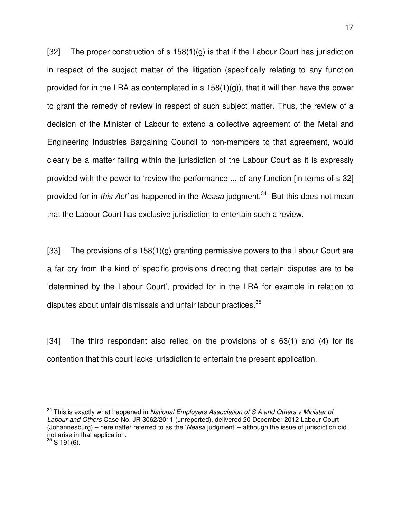[32] The proper construction of s  $158(1)(g)$  is that if the Labour Court has jurisdiction in respect of the subject matter of the litigation (specifically relating to any function provided for in the LRA as contemplated in s  $158(1)(g)$ , that it will then have the power to grant the remedy of review in respect of such subject matter. Thus, the review of a decision of the Minister of Labour to extend a collective agreement of the Metal and Engineering Industries Bargaining Council to non-members to that agreement, would clearly be a matter falling within the jurisdiction of the Labour Court as it is expressly provided with the power to 'review the performance ... of any function [in terms of s 32] provided for in *this Act'* as happened in the *Neasa* judgment.<sup>34</sup> But this does not mean that the Labour Court has exclusive jurisdiction to entertain such a review.

[33] The provisions of s 158(1)(g) granting permissive powers to the Labour Court are a far cry from the kind of specific provisions directing that certain disputes are to be 'determined by the Labour Court', provided for in the LRA for example in relation to disputes about unfair dismissals and unfair labour practices.<sup>35</sup>

[34] The third respondent also relied on the provisions of s 63(1) and (4) for its contention that this court lacks jurisdiction to entertain the present application.

 $\overline{\phantom{a}}$ 

<sup>&</sup>lt;sup>34</sup> This is exactly what happened in *National Employers Association of S A and Others v Minister of Labour and Others* Case No. JR 3062/2011 (unreported), delivered 20 December 2012 Labour Court (Johannesburg) – hereinafter referred to as the '*Neasa* judgment' – although the issue of jurisdiction did not arise in that application.

 $35$  S 191(6).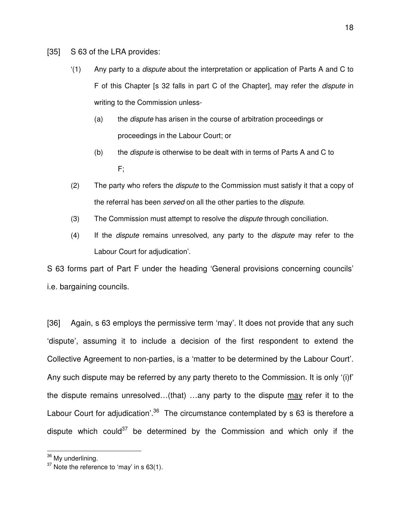- [35] S 63 of the LRA provides:
	- '(1) Any party to a *dispute* about the interpretation or application of Parts A and C to F of this Chapter [s 32 falls in part C of the Chapter], may refer the *dispute* in writing to the Commission unless-
		- (a) the *dispute* has arisen in the course of arbitration proceedings or proceedings in the Labour Court; or
		- (b) the *dispute* is otherwise to be dealt with in terms of Parts A and C to F;
	- (2) The party who refers the *dispute* to the Commission must satisfy it that a copy of the referral has been *served* on all the other parties to the *dispute*.
	- (3) The Commission must attempt to resolve the *dispute* through conciliation.
	- (4) If the *dispute* remains unresolved, any party to the *dispute* may refer to the Labour Court for adjudication'.

S 63 forms part of Part F under the heading 'General provisions concerning councils' i.e. bargaining councils.

[36] Again, s 63 employs the permissive term 'may'. It does not provide that any such 'dispute', assuming it to include a decision of the first respondent to extend the Collective Agreement to non-parties, is a 'matter to be determined by the Labour Court'. Any such dispute may be referred by any party thereto to the Commission. It is only '(i)f' the dispute remains unresolved…(that) …any party to the dispute may refer it to the Labour Court for adjudication'.<sup>36</sup> The circumstance contemplated by  $s$  63 is therefore a dispute which could<sup>37</sup> be determined by the Commission and which only if the

 $\overline{\phantom{a}}$ <sup>36</sup> My underlining.

 $37$  Note the reference to 'may' in s 63(1).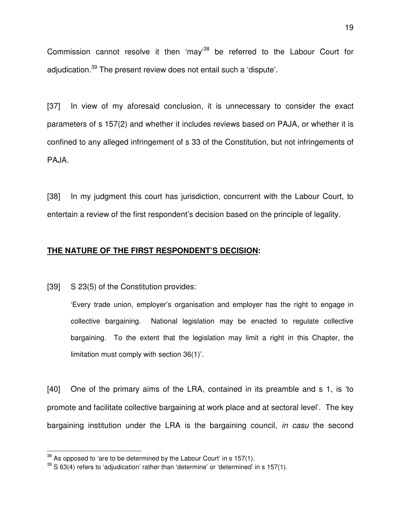Commission cannot resolve it then 'may'<sup>38</sup> be referred to the Labour Court for adjudication.<sup>39</sup> The present review does not entail such a 'dispute'.

[37] In view of my aforesaid conclusion, it is unnecessary to consider the exact parameters of s 157(2) and whether it includes reviews based on PAJA, or whether it is confined to any alleged infringement of s 33 of the Constitution, but not infringements of PAJA.

[38] In my judgment this court has jurisdiction, concurrent with the Labour Court, to entertain a review of the first respondent's decision based on the principle of legality.

## **THE NATURE OF THE FIRST RESPONDENT'S DECISION:**

[39] S 23(5) of the Constitution provides:

 'Every trade union, employer's organisation and employer has the right to engage in collective bargaining. National legislation may be enacted to regulate collective bargaining. To the extent that the legislation may limit a right in this Chapter, the limitation must comply with section 36(1)'.

[40] One of the primary aims of the LRA, contained in its preamble and s 1, is 'to promote and facilitate collective bargaining at work place and at sectoral level'. The key bargaining institution under the LRA is the bargaining council, *in casu* the second

 $\overline{\phantom{a}}$ 

 $38$  As opposed to 'are to be determined by the Labour Court' in s 157(1).

 $39$  S 63(4) refers to 'adjudication' rather than 'determine' or 'determined' in s 157(1).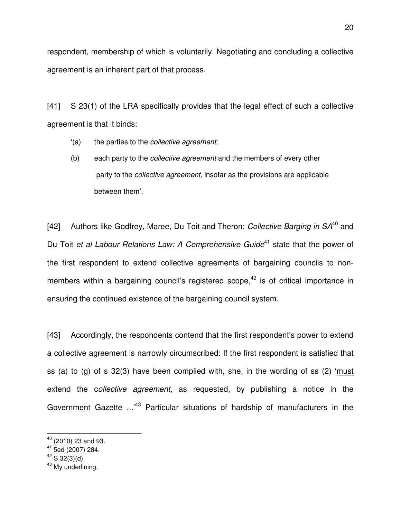respondent, membership of which is voluntarily. Negotiating and concluding a collective agreement is an inherent part of that process.

[41] S 23(1) of the LRA specifically provides that the legal effect of such a collective agreement is that it binds:

- '(a) the parties to the *collective agreement*;
- (b) each party to the *collective agreement* and the members of every other party to the *collective agreement*, insofar as the provisions are applicable between them'.

[42] Authors like Godfrey, Maree, Du Toit and Theron: *Collective Barging in SA*<sup>40</sup> and Du Toit *et al Labour Relations Law: A Comprehensive Guide*<sup>41</sup> state that the power of the first respondent to extend collective agreements of bargaining councils to nonmembers within a bargaining council's registered scope, $42$  is of critical importance in ensuring the continued existence of the bargaining council system.

[43] Accordingly, the respondents contend that the first respondent's power to extend a collective agreement is narrowly circumscribed: If the first respondent is satisfied that ss (a) to (g) of s 32(3) have been complied with, she, in the wording of ss (2) 'must extend the c*ollective agreement*, as requested, by publishing a notice in the Government Gazette ...<sup>43</sup> Particular situations of hardship of manufacturers in the

 $\overline{a}$  $40$  (2010) 23 and 93.

<sup>41</sup> 5ed (2007) 284.

 $42$  S 32(3)(d).

<sup>&</sup>lt;sup>43</sup> My underlining.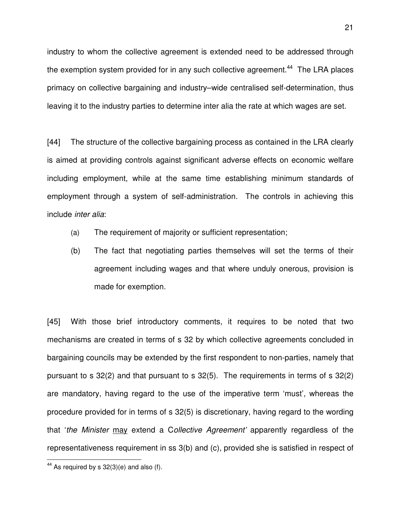industry to whom the collective agreement is extended need to be addressed through the exemption system provided for in any such collective agreement.<sup>44</sup> The LRA places primacy on collective bargaining and industry–wide centralised self-determination, thus leaving it to the industry parties to determine inter alia the rate at which wages are set.

[44] The structure of the collective bargaining process as contained in the LRA clearly is aimed at providing controls against significant adverse effects on economic welfare including employment, while at the same time establishing minimum standards of employment through a system of self-administration. The controls in achieving this include *inter alia*:

- (a) The requirement of majority or sufficient representation;
- (b) The fact that negotiating parties themselves will set the terms of their agreement including wages and that where unduly onerous, provision is made for exemption.

[45] With those brief introductory comments, it requires to be noted that two mechanisms are created in terms of s 32 by which collective agreements concluded in bargaining councils may be extended by the first respondent to non-parties, namely that pursuant to s 32(2) and that pursuant to s 32(5). The requirements in terms of s 32(2) are mandatory, having regard to the use of the imperative term 'must', whereas the procedure provided for in terms of s 32(5) is discretionary, having regard to the wording that '*the Minister* may extend a C*ollective Agreement'* apparently regardless of the representativeness requirement in ss 3(b) and (c), provided she is satisfied in respect of

 $\overline{a}$ 

 $44$  As required by s 32(3)(e) and also (f).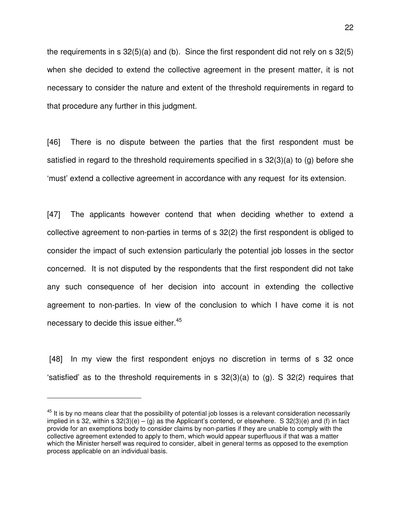the requirements in s 32(5)(a) and (b). Since the first respondent did not rely on s 32(5) when she decided to extend the collective agreement in the present matter, it is not necessary to consider the nature and extent of the threshold requirements in regard to that procedure any further in this judgment.

[46] There is no dispute between the parties that the first respondent must be satisfied in regard to the threshold requirements specified in s 32(3)(a) to (g) before she 'must' extend a collective agreement in accordance with any request for its extension.

[47] The applicants however contend that when deciding whether to extend a collective agreement to non-parties in terms of s 32(2) the first respondent is obliged to consider the impact of such extension particularly the potential job losses in the sector concerned. It is not disputed by the respondents that the first respondent did not take any such consequence of her decision into account in extending the collective agreement to non-parties. In view of the conclusion to which I have come it is not necessary to decide this issue either.<sup>45</sup>

[48] In my view the first respondent enjoys no discretion in terms of s 32 once 'satisfied' as to the threshold requirements in s 32(3)(a) to (g). S 32(2) requires that

-

<sup>&</sup>lt;sup>45</sup> It is by no means clear that the possibility of potential job losses is a relevant consideration necessarily implied in s 32, within s  $32(3)(e) - (g)$  as the Applicant's contend, or elsewhere. S  $32(3)(e)$  and (f) in fact provide for an exemptions body to consider claims by non-parties if they are unable to comply with the collective agreement extended to apply to them, which would appear superfluous if that was a matter which the Minister herself was required to consider, albeit in general terms as opposed to the exemption process applicable on an individual basis.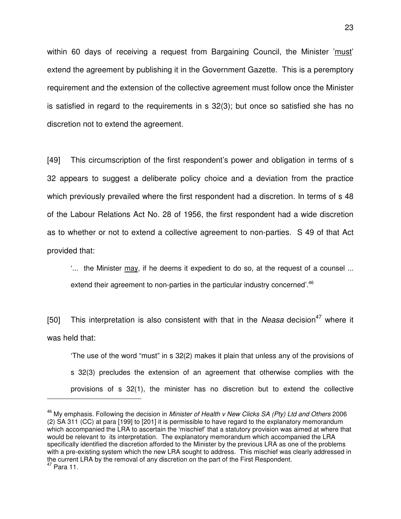within 60 days of receiving a request from Bargaining Council, the Minister 'must' extend the agreement by publishing it in the Government Gazette. This is a peremptory requirement and the extension of the collective agreement must follow once the Minister is satisfied in regard to the requirements in s 32(3); but once so satisfied she has no discretion not to extend the agreement.

[49] This circumscription of the first respondent's power and obligation in terms of s 32 appears to suggest a deliberate policy choice and a deviation from the practice which previously prevailed where the first respondent had a discretion. In terms of s 48 of the Labour Relations Act No. 28 of 1956, the first respondent had a wide discretion as to whether or not to extend a collective agreement to non-parties. S 49 of that Act provided that:

'... the Minister may, if he deems it expedient to do so, at the request of a counsel ... extend their agreement to non-parties in the particular industry concerned'.<sup>46</sup>

[50] This interpretation is also consistent with that in the *Neasa* decision<sup>47</sup> where it was held that:

'The use of the word "must" in s 32(2) makes it plain that unless any of the provisions of s 32(3) precludes the extension of an agreement that otherwise complies with the provisions of s 32(1), the minister has no discretion but to extend the collective

l

<sup>46</sup> My emphasis. Following the decision in *Minister of Health v New Clicks SA (Pty) Ltd and Others* 2006 (2) SA 311 (CC) at para [199] to [201] it is permissible to have regard to the explanatory memorandum which accompanied the LRA to ascertain the 'mischief' that a statutory provision was aimed at where that would be relevant to its interpretation. The explanatory memorandum which accompanied the LRA specifically identified the discretion afforded to the Minister by the previous LRA as one of the problems with a pre-existing system which the new LRA sought to address. This mischief was clearly addressed in the current LRA by the removal of any discretion on the part of the First Respondent.  $47$  Para 11.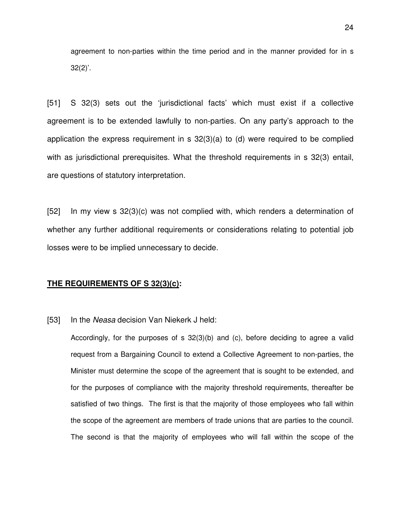agreement to non-parties within the time period and in the manner provided for in s  $32(2)$ '.

[51] S 32(3) sets out the 'jurisdictional facts' which must exist if a collective agreement is to be extended lawfully to non-parties. On any party's approach to the application the express requirement in s 32(3)(a) to (d) were required to be complied with as jurisdictional prerequisites. What the threshold requirements in s 32(3) entail, are questions of statutory interpretation.

 [52] In my view s 32(3)(c) was not complied with, which renders a determination of whether any further additional requirements or considerations relating to potential job losses were to be implied unnecessary to decide.

#### **THE REQUIREMENTS OF S 32(3)(c):**

#### [53] In the *Neasa* decision Van Niekerk J held:

Accordingly, for the purposes of s 32(3)(b) and (c), before deciding to agree a valid request from a Bargaining Council to extend a Collective Agreement to non-parties, the Minister must determine the scope of the agreement that is sought to be extended, and for the purposes of compliance with the majority threshold requirements, thereafter be satisfied of two things. The first is that the majority of those employees who fall within the scope of the agreement are members of trade unions that are parties to the council. The second is that the majority of employees who will fall within the scope of the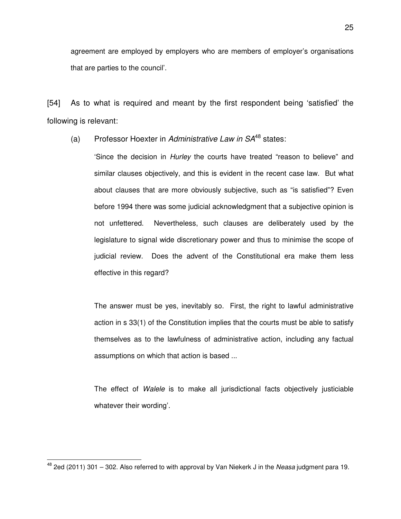agreement are employed by employers who are members of employer's organisations that are parties to the council'.

[54] As to what is required and meant by the first respondent being 'satisfied' the following is relevant:

(a) Professor Hoexter in *Administrative Law in SA*<sup>48</sup> states:

'Since the decision in *Hurley* the courts have treated "reason to believe" and similar clauses objectively, and this is evident in the recent case law. But what about clauses that are more obviously subjective, such as "is satisfied"? Even before 1994 there was some judicial acknowledgment that a subjective opinion is not unfettered. Nevertheless, such clauses are deliberately used by the legislature to signal wide discretionary power and thus to minimise the scope of judicial review. Does the advent of the Constitutional era make them less effective in this regard?

 The answer must be yes, inevitably so. First, the right to lawful administrative action in s 33(1) of the Constitution implies that the courts must be able to satisfy themselves as to the lawfulness of administrative action, including any factual assumptions on which that action is based ...

 The effect of *Walele* is to make all jurisdictional facts objectively justiciable whatever their wording'.

 $\overline{a}$ 

<sup>48</sup> 2ed (2011) 301 – 302. Also referred to with approval by Van Niekerk J in the *Neasa* judgment para 19.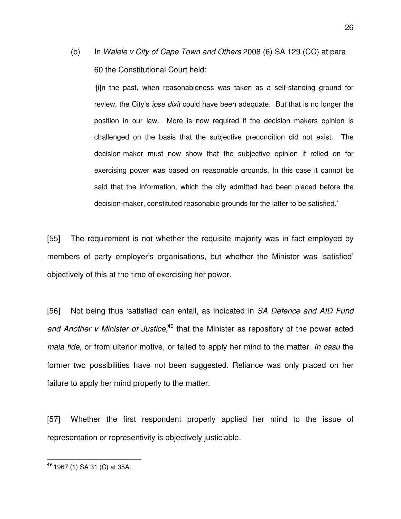(b) In *Walele v City of Cape Town and Others* 2008 (6) SA 129 (CC) at para 60 the Constitutional Court held:

'[i]n the past, when reasonableness was taken as a self-standing ground for review, the City's *ipse dixit* could have been adequate. But that is no longer the position in our law. More is now required if the decision makers opinion is challenged on the basis that the subjective precondition did not exist. The decision-maker must now show that the subjective opinion it relied on for exercising power was based on reasonable grounds. In this case it cannot be said that the information, which the city admitted had been placed before the decision-maker, constituted reasonable grounds for the latter to be satisfied.'

[55] The requirement is not whether the requisite majority was in fact employed by members of party employer's organisations, but whether the Minister was 'satisfied' objectively of this at the time of exercising her power.

[56] Not being thus 'satisfied' can entail, as indicated in *SA Defence and AID Fund and Another v Minister of Justice,*<sup>49</sup> that the Minister as repository of the power acted *mala fide,* or from ulterior motive, or failed to apply her mind to the matter. *In casu* the former two possibilities have not been suggested. Reliance was only placed on her failure to apply her mind properly to the matter.

[57] Whether the first respondent properly applied her mind to the issue of representation or representivity is objectively justiciable.

 $\overline{a}$ 

<sup>&</sup>lt;sup>49</sup> 1967 (1) SA 31 (C) at 35A.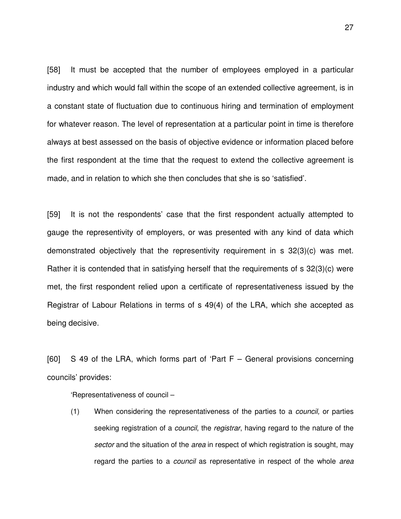[58] It must be accepted that the number of employees employed in a particular industry and which would fall within the scope of an extended collective agreement, is in a constant state of fluctuation due to continuous hiring and termination of employment for whatever reason. The level of representation at a particular point in time is therefore always at best assessed on the basis of objective evidence or information placed before the first respondent at the time that the request to extend the collective agreement is made, and in relation to which she then concludes that she is so 'satisfied'.

[59] It is not the respondents' case that the first respondent actually attempted to gauge the representivity of employers, or was presented with any kind of data which demonstrated objectively that the representivity requirement in s 32(3)(c) was met. Rather it is contended that in satisfying herself that the requirements of s 32(3)(c) were met, the first respondent relied upon a certificate of representativeness issued by the Registrar of Labour Relations in terms of s 49(4) of the LRA, which she accepted as being decisive.

[60] S 49 of the LRA, which forms part of 'Part  $F -$  General provisions concerning councils' provides:

'Representativeness of council –

 (1) When considering the representativeness of the parties to a *council,* or parties seeking registration of a *council*, the *registrar*, having regard to the nature of the *sector* and the situation of the *area* in respect of which registration is sought, may regard the parties to a *council* as representative in respect of the whole *area* 

27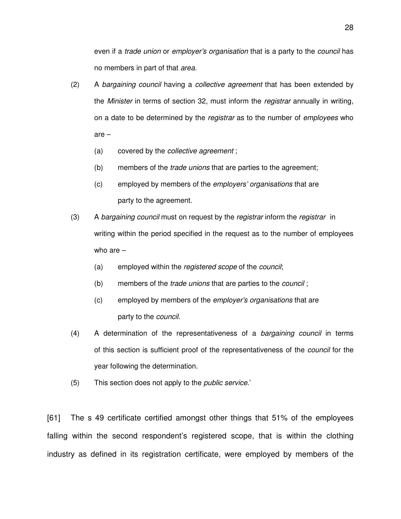even if a *trade union* or *employer's organisation* that is a party to the *council* has no members in part of that *area.*

- (2) A *bargaining council* having a *collective agreement* that has been extended by the *Minister* in terms of section 32, must inform the *registrar* annually in writing, on a date to be determined by the *registrar* as to the number of *employees* who are –
	- (a) covered by the *collective agreement* ;
	- (b) members of the *trade unions* that are parties to the agreement;
	- (c) employed by members of the *employers' organisations* that are party to the agreement.
- (3) A *bargaining council* must on request by the *registrar* inform the *registrar* in writing within the period specified in the request as to the number of employees who are –
	- (a) employed within the *registered scope* of the *council*;
	- (b) members of the *trade unions* that are parties to the *council* ;
	- (c) employed by members of the *employer's organisations* that are party to the *council.*
- (4) A determination of the representativeness of a *bargaining council* in terms of this section is sufficient proof of the representativeness of the *council* for the year following the determination.
- (5) This section does not apply to the *public service.*'

[61] The s 49 certificate certified amongst other things that 51% of the employees falling within the second respondent's registered scope, that is within the clothing industry as defined in its registration certificate, were employed by members of the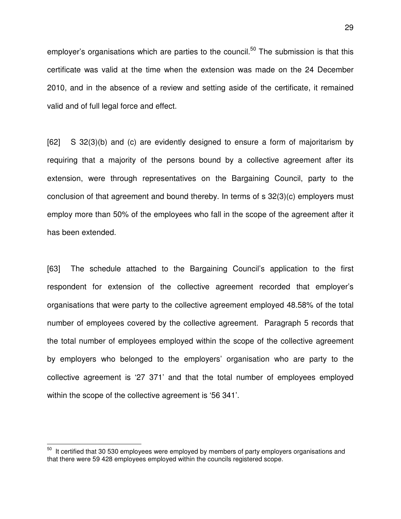employer's organisations which are parties to the council.<sup>50</sup> The submission is that this certificate was valid at the time when the extension was made on the 24 December 2010, and in the absence of a review and setting aside of the certificate, it remained valid and of full legal force and effect.

[62] S 32(3)(b) and (c) are evidently designed to ensure a form of majoritarism by requiring that a majority of the persons bound by a collective agreement after its extension, were through representatives on the Bargaining Council, party to the conclusion of that agreement and bound thereby. In terms of s 32(3)(c) employers must employ more than 50% of the employees who fall in the scope of the agreement after it has been extended.

[63] The schedule attached to the Bargaining Council's application to the first respondent for extension of the collective agreement recorded that employer's organisations that were party to the collective agreement employed 48.58% of the total number of employees covered by the collective agreement. Paragraph 5 records that the total number of employees employed within the scope of the collective agreement by employers who belonged to the employers' organisation who are party to the collective agreement is '27 371' and that the total number of employees employed within the scope of the collective agreement is '56 341'.

 $\overline{a}$ 

 $50$  It certified that 30 530 employees were employed by members of party employers organisations and that there were 59 428 employees employed within the councils registered scope.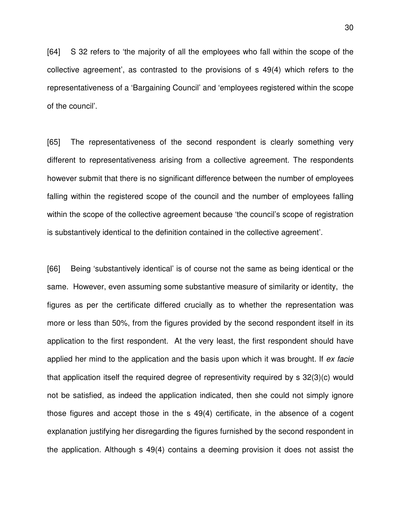[64] S 32 refers to 'the majority of all the employees who fall within the scope of the collective agreement', as contrasted to the provisions of s 49(4) which refers to the representativeness of a 'Bargaining Council' and 'employees registered within the scope of the council'.

[65] The representativeness of the second respondent is clearly something very different to representativeness arising from a collective agreement. The respondents however submit that there is no significant difference between the number of employees falling within the registered scope of the council and the number of employees falling within the scope of the collective agreement because 'the council's scope of registration is substantively identical to the definition contained in the collective agreement'.

[66] Being 'substantively identical' is of course not the same as being identical or the same. However, even assuming some substantive measure of similarity or identity, the figures as per the certificate differed crucially as to whether the representation was more or less than 50%, from the figures provided by the second respondent itself in its application to the first respondent. At the very least, the first respondent should have applied her mind to the application and the basis upon which it was brought. If *ex facie*  that application itself the required degree of representivity required by s 32(3)(c) would not be satisfied, as indeed the application indicated, then she could not simply ignore those figures and accept those in the s 49(4) certificate, in the absence of a cogent explanation justifying her disregarding the figures furnished by the second respondent in the application. Although s 49(4) contains a deeming provision it does not assist the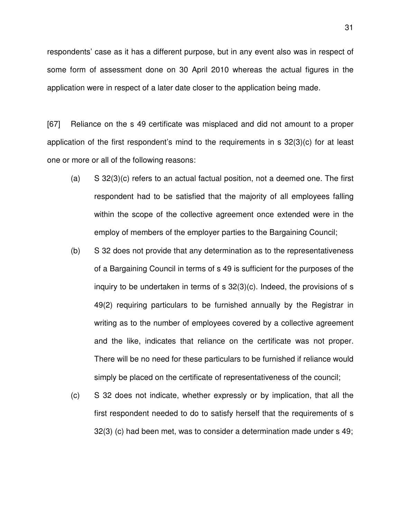respondents' case as it has a different purpose, but in any event also was in respect of some form of assessment done on 30 April 2010 whereas the actual figures in the application were in respect of a later date closer to the application being made.

[67] Reliance on the s 49 certificate was misplaced and did not amount to a proper application of the first respondent's mind to the requirements in s 32(3)(c) for at least one or more or all of the following reasons:

- (a) S 32(3)(c) refers to an actual factual position, not a deemed one. The first respondent had to be satisfied that the majority of all employees falling within the scope of the collective agreement once extended were in the employ of members of the employer parties to the Bargaining Council;
- (b) S 32 does not provide that any determination as to the representativeness of a Bargaining Council in terms of s 49 is sufficient for the purposes of the inquiry to be undertaken in terms of s 32(3)(c). Indeed, the provisions of s 49(2) requiring particulars to be furnished annually by the Registrar in writing as to the number of employees covered by a collective agreement and the like, indicates that reliance on the certificate was not proper. There will be no need for these particulars to be furnished if reliance would simply be placed on the certificate of representativeness of the council;
- (c) S 32 does not indicate, whether expressly or by implication, that all the first respondent needed to do to satisfy herself that the requirements of s 32(3) (c) had been met, was to consider a determination made under s 49;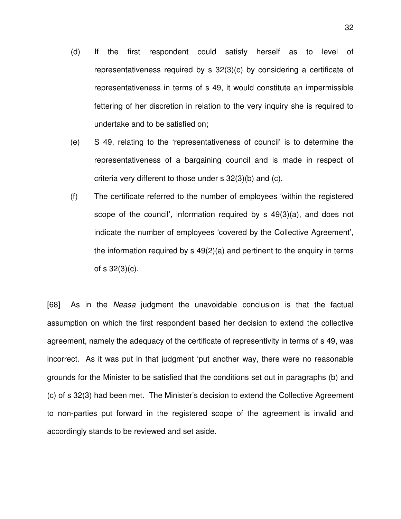- (d) If the first respondent could satisfy herself as to level of representativeness required by s 32(3)(c) by considering a certificate of representativeness in terms of s 49, it would constitute an impermissible fettering of her discretion in relation to the very inquiry she is required to undertake and to be satisfied on;
- (e) S 49, relating to the 'representativeness of council' is to determine the representativeness of a bargaining council and is made in respect of criteria very different to those under s 32(3)(b) and (c).
- (f) The certificate referred to the number of employees 'within the registered scope of the council', information required by s 49(3)(a), and does not indicate the number of employees 'covered by the Collective Agreement', the information required by s 49(2)(a) and pertinent to the enquiry in terms of s 32(3)(c).

[68] As in the *Neasa* judgment the unavoidable conclusion is that the factual assumption on which the first respondent based her decision to extend the collective agreement, namely the adequacy of the certificate of representivity in terms of s 49, was incorrect. As it was put in that judgment 'put another way, there were no reasonable grounds for the Minister to be satisfied that the conditions set out in paragraphs (b) and (c) of s 32(3) had been met. The Minister's decision to extend the Collective Agreement to non-parties put forward in the registered scope of the agreement is invalid and accordingly stands to be reviewed and set aside.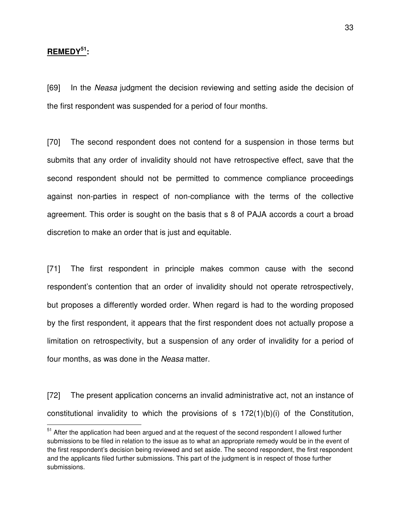## **REMEDY<sup>51</sup>:**

 $\overline{a}$ 

[69] In the *Neasa* judgment the decision reviewing and setting aside the decision of the first respondent was suspended for a period of four months.

[70] The second respondent does not contend for a suspension in those terms but submits that any order of invalidity should not have retrospective effect, save that the second respondent should not be permitted to commence compliance proceedings against non-parties in respect of non-compliance with the terms of the collective agreement. This order is sought on the basis that s 8 of PAJA accords a court a broad discretion to make an order that is just and equitable.

[71] The first respondent in principle makes common cause with the second respondent's contention that an order of invalidity should not operate retrospectively, but proposes a differently worded order. When regard is had to the wording proposed by the first respondent, it appears that the first respondent does not actually propose a limitation on retrospectivity, but a suspension of any order of invalidity for a period of four months, as was done in the *Neasa* matter.

[72] The present application concerns an invalid administrative act, not an instance of constitutional invalidity to which the provisions of  $s$  172(1)(b)(i) of the Constitution,

 $51$  After the application had been argued and at the request of the second respondent I allowed further submissions to be filed in relation to the issue as to what an appropriate remedy would be in the event of the first respondent's decision being reviewed and set aside. The second respondent, the first respondent and the applicants filed further submissions. This part of the judgment is in respect of those further submissions.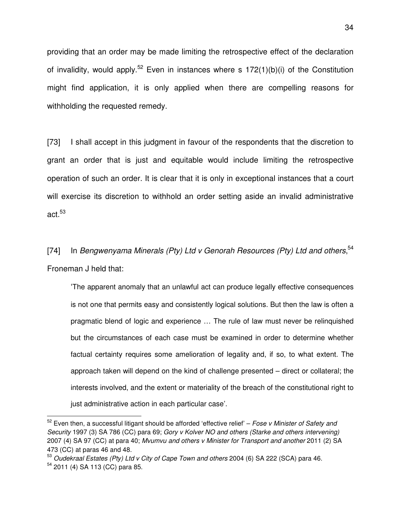providing that an order may be made limiting the retrospective effect of the declaration of invalidity, would apply.<sup>52</sup> Even in instances where s  $172(1)(b)(i)$  of the Constitution might find application, it is only applied when there are compelling reasons for withholding the requested remedy.

[73] I shall accept in this judgment in favour of the respondents that the discretion to grant an order that is just and equitable would include limiting the retrospective operation of such an order. It is clear that it is only in exceptional instances that a court will exercise its discretion to withhold an order setting aside an invalid administrative act. $^{53}$ 

[74] In *Bengwenyama Minerals (Pty) Ltd v Genorah Resources (Pty) Ltd and others*, 54 Froneman J held that:

 'The apparent anomaly that an unlawful act can produce legally effective consequences is not one that permits easy and consistently logical solutions. But then the law is often a pragmatic blend of logic and experience … The rule of law must never be relinquished but the circumstances of each case must be examined in order to determine whether factual certainty requires some amelioration of legality and, if so, to what extent. The approach taken will depend on the kind of challenge presented – direct or collateral; the interests involved, and the extent or materiality of the breach of the constitutional right to just administrative action in each particular case'.

 $\overline{a}$ 

<sup>52</sup> Even then, a successful litigant should be afforded 'effective relief' – *Fose v Minister of Safety and Security* 1997 (3) SA 786 (CC) para 69; *Gory v Kolver NO and others (Starke and others intervening)* 2007 (4) SA 97 (CC) at para 40; *Mvumvu and others v Minister for Transport and another* 2011 (2) SA 473 (CC) at paras 46 and 48.

<sup>53</sup> *Oudekraal Estates (Pty) Ltd v City of Cape Town and others* 2004 (6) SA 222 (SCA) para 46. <sup>54</sup> 2011 (4) SA 113 (CC) para 85.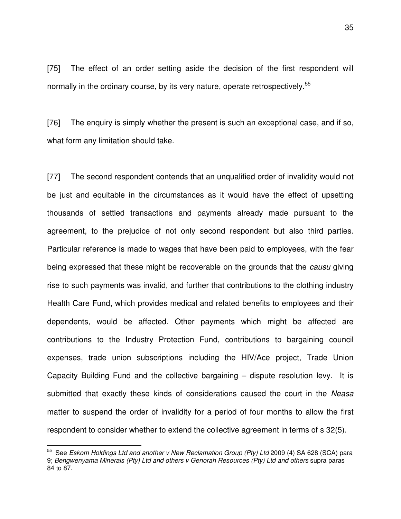[75] The effect of an order setting aside the decision of the first respondent will normally in the ordinary course, by its very nature, operate retrospectively.<sup>55</sup>

[76] The enquiry is simply whether the present is such an exceptional case, and if so, what form any limitation should take.

[77] The second respondent contends that an unqualified order of invalidity would not be just and equitable in the circumstances as it would have the effect of upsetting thousands of settled transactions and payments already made pursuant to the agreement, to the prejudice of not only second respondent but also third parties. Particular reference is made to wages that have been paid to employees, with the fear being expressed that these might be recoverable on the grounds that the *causu* giving rise to such payments was invalid, and further that contributions to the clothing industry Health Care Fund, which provides medical and related benefits to employees and their dependents, would be affected. Other payments which might be affected are contributions to the Industry Protection Fund, contributions to bargaining council expenses, trade union subscriptions including the HIV/Ace project, Trade Union Capacity Building Fund and the collective bargaining – dispute resolution levy. It is submitted that exactly these kinds of considerations caused the court in the *Neasa* matter to suspend the order of invalidity for a period of four months to allow the first respondent to consider whether to extend the collective agreement in terms of s 32(5).

 $\overline{a}$ 

<sup>55</sup> See *Eskom Holdings Ltd and another v New Reclamation Group (Pty) Ltd* 2009 (4) SA 628 (SCA) para 9; *Bengwenyama Minerals (Pty) Ltd and others v Genorah Resources (Pty) Ltd and others* supra paras 84 to 87.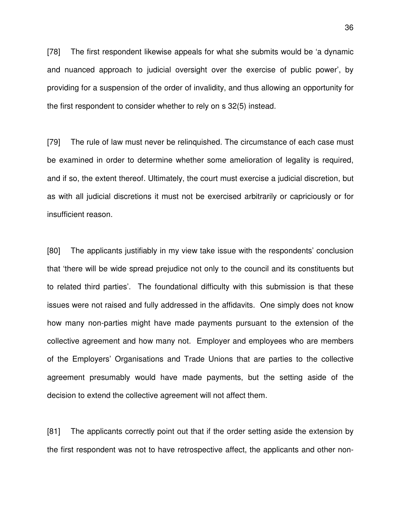[78] The first respondent likewise appeals for what she submits would be 'a dynamic and nuanced approach to judicial oversight over the exercise of public power', by providing for a suspension of the order of invalidity, and thus allowing an opportunity for the first respondent to consider whether to rely on s 32(5) instead.

[79] The rule of law must never be relinquished. The circumstance of each case must be examined in order to determine whether some amelioration of legality is required, and if so, the extent thereof. Ultimately, the court must exercise a judicial discretion, but as with all judicial discretions it must not be exercised arbitrarily or capriciously or for insufficient reason.

[80] The applicants justifiably in my view take issue with the respondents' conclusion that 'there will be wide spread prejudice not only to the council and its constituents but to related third parties'. The foundational difficulty with this submission is that these issues were not raised and fully addressed in the affidavits. One simply does not know how many non-parties might have made payments pursuant to the extension of the collective agreement and how many not. Employer and employees who are members of the Employers' Organisations and Trade Unions that are parties to the collective agreement presumably would have made payments, but the setting aside of the decision to extend the collective agreement will not affect them.

[81] The applicants correctly point out that if the order setting aside the extension by the first respondent was not to have retrospective affect, the applicants and other non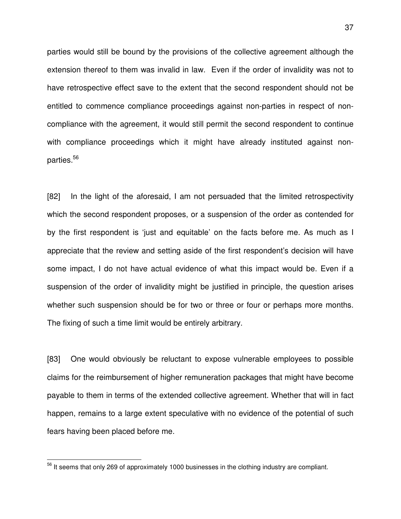parties would still be bound by the provisions of the collective agreement although the extension thereof to them was invalid in law. Even if the order of invalidity was not to have retrospective effect save to the extent that the second respondent should not be entitled to commence compliance proceedings against non-parties in respect of noncompliance with the agreement, it would still permit the second respondent to continue with compliance proceedings which it might have already instituted against nonparties.<sup>56</sup>

[82] In the light of the aforesaid, I am not persuaded that the limited retrospectivity which the second respondent proposes, or a suspension of the order as contended for by the first respondent is 'just and equitable' on the facts before me. As much as I appreciate that the review and setting aside of the first respondent's decision will have some impact, I do not have actual evidence of what this impact would be. Even if a suspension of the order of invalidity might be justified in principle, the question arises whether such suspension should be for two or three or four or perhaps more months. The fixing of such a time limit would be entirely arbitrary.

[83] One would obviously be reluctant to expose vulnerable employees to possible claims for the reimbursement of higher remuneration packages that might have become payable to them in terms of the extended collective agreement. Whether that will in fact happen, remains to a large extent speculative with no evidence of the potential of such fears having been placed before me.

 $\overline{a}$ 

 $56$  It seems that only 269 of approximately 1000 businesses in the clothing industry are compliant.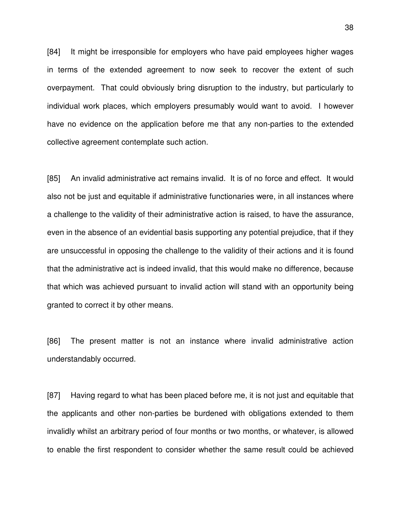[84] It might be irresponsible for employers who have paid employees higher wages in terms of the extended agreement to now seek to recover the extent of such overpayment. That could obviously bring disruption to the industry, but particularly to individual work places, which employers presumably would want to avoid. I however have no evidence on the application before me that any non-parties to the extended collective agreement contemplate such action.

[85] An invalid administrative act remains invalid. It is of no force and effect. It would also not be just and equitable if administrative functionaries were, in all instances where a challenge to the validity of their administrative action is raised, to have the assurance, even in the absence of an evidential basis supporting any potential prejudice, that if they are unsuccessful in opposing the challenge to the validity of their actions and it is found that the administrative act is indeed invalid, that this would make no difference, because that which was achieved pursuant to invalid action will stand with an opportunity being granted to correct it by other means.

[86] The present matter is not an instance where invalid administrative action understandably occurred.

[87] Having regard to what has been placed before me, it is not just and equitable that the applicants and other non-parties be burdened with obligations extended to them invalidly whilst an arbitrary period of four months or two months, or whatever, is allowed to enable the first respondent to consider whether the same result could be achieved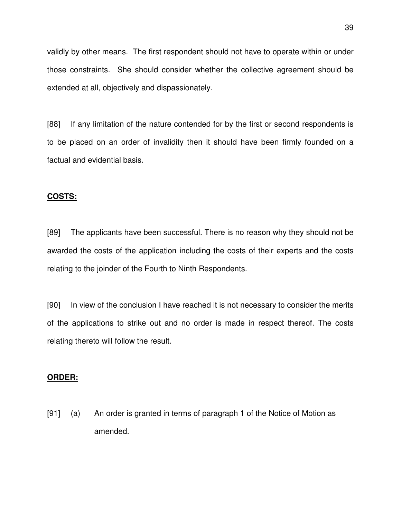validly by other means. The first respondent should not have to operate within or under those constraints. She should consider whether the collective agreement should be extended at all, objectively and dispassionately.

[88] If any limitation of the nature contended for by the first or second respondents is to be placed on an order of invalidity then it should have been firmly founded on a factual and evidential basis.

#### **COSTS:**

[89] The applicants have been successful. There is no reason why they should not be awarded the costs of the application including the costs of their experts and the costs relating to the joinder of the Fourth to Ninth Respondents.

[90] In view of the conclusion I have reached it is not necessary to consider the merits of the applications to strike out and no order is made in respect thereof. The costs relating thereto will follow the result.

#### **ORDER:**

[91] (a) An order is granted in terms of paragraph 1 of the Notice of Motion as amended.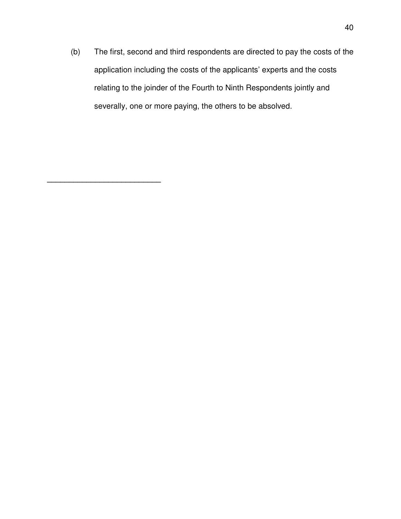(b) The first, second and third respondents are directed to pay the costs of the application including the costs of the applicants' experts and the costs relating to the joinder of the Fourth to Ninth Respondents jointly and severally, one or more paying, the others to be absolved.

**\_\_\_\_\_\_\_\_\_\_\_\_\_\_\_\_\_\_\_\_\_\_\_\_\_\_**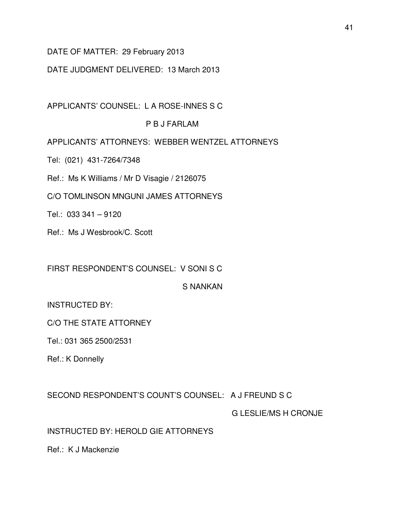# DATE OF MATTER: 29 February 2013

# DATE JUDGMENT DELIVERED: 13 March 2013

APPLICANTS' COUNSEL: L A ROSE-INNES S C

# P B J FARLAM

APPLICANTS' ATTORNEYS: WEBBER WENTZEL ATTORNEYS

Tel: (021) 431-7264/7348

Ref.: Ms K Williams / Mr D Visagie / 2126075

C/O TOMLINSON MNGUNI JAMES ATTORNEYS

Tel.: 033 341 – 9120

Ref.: Ms J Wesbrook/C. Scott

FIRST RESPONDENT'S COUNSEL: V SONI S C

S NANKAN

INSTRUCTED BY:

C/O THE STATE ATTORNEY

Tel.: 031 365 2500/2531

Ref.: K Donnelly

SECOND RESPONDENT'S COUNT'S COUNSEL: A J FREUND S C

G LESLIE/MS H CRONJE

INSTRUCTED BY: HEROLD GIE ATTORNEYS

Ref.: K J Mackenzie